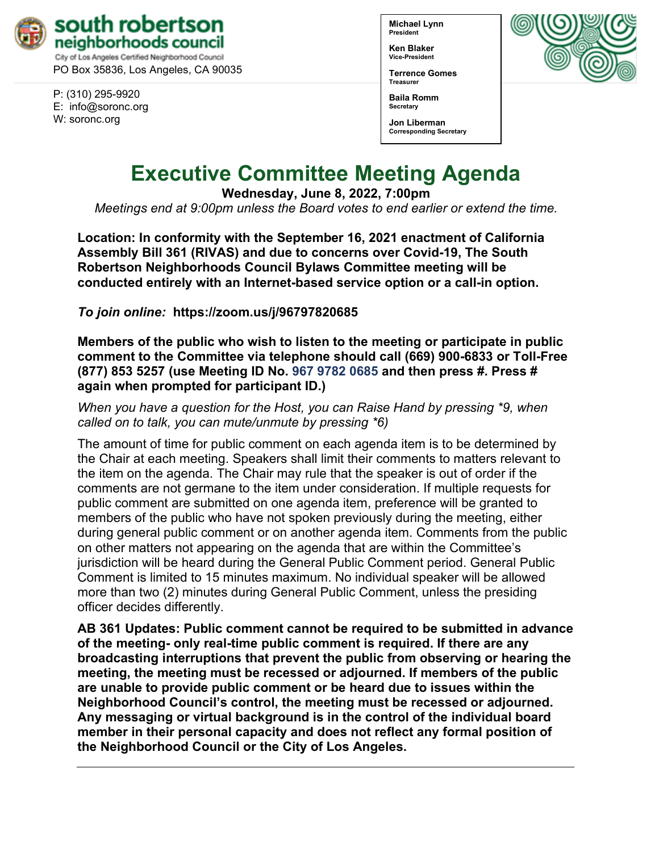

PO Box 35836, Los Angeles, CA 90035

P: (310) 295-9920 E: [info@soronc.org](mailto:info@soronc.org) W: soronc.org

**Michael Lynn President**

**Ken Blaker Vice-President**

**Terrence Gomes Treasurer**

**Baila Romm Secretary**





# **Executive Committee Meeting Agenda**

**Wednesday, June 8, 2022, 7:00pm**

*Meetings end at 9:00pm unless the Board votes to end earlier or extend the time.*

**Location: In conformity with the September 16, 2021 enactment of California Assembly Bill 361 (RIVAS) and due to concerns over Covid-19, The South Robertson Neighborhoods Council Bylaws Committee meeting will be conducted entirely with an Internet-based service option or a call-in option.** 

*To join online:* **<https://zoom.us/j/96797820685>**

**Members of the public who wish to listen to the meeting or participate in public comment to the Committee via telephone should call (669) 900-6833 or Toll-Free (877) 853 5257 (use Meeting ID No. 967 9782 0685 and then press #. Press # again when prompted for participant ID.)** 

*When you have a question for the Host, you can Raise Hand by pressing \*9, when called on to talk, you can mute/unmute by pressing \*6)* 

The amount of time for public comment on each agenda item is to be determined by the Chair at each meeting. Speakers shall limit their comments to matters relevant to the item on the agenda. The Chair may rule that the speaker is out of order if the comments are not germane to the item under consideration. If multiple requests for public comment are submitted on one agenda item, preference will be granted to members of the public who have not spoken previously during the meeting, either during general public comment or on another agenda item. Comments from the public on other matters not appearing on the agenda that are within the Committee's jurisdiction will be heard during the General Public Comment period. General Public Comment is limited to 15 minutes maximum. No individual speaker will be allowed more than two (2) minutes during General Public Comment, unless the presiding officer decides differently.

**AB 361 Updates: Public comment cannot be required to be submitted in advance of the meeting- only real-time public comment is required. If there are any broadcasting interruptions that prevent the public from observing or hearing the meeting, the meeting must be recessed or adjourned. If members of the public are unable to provide public comment or be heard due to issues within the Neighborhood Council's control, the meeting must be recessed or adjourned. Any messaging or virtual background is in the control of the individual board member in their personal capacity and does not reflect any formal position of the Neighborhood Council or the City of Los Angeles.**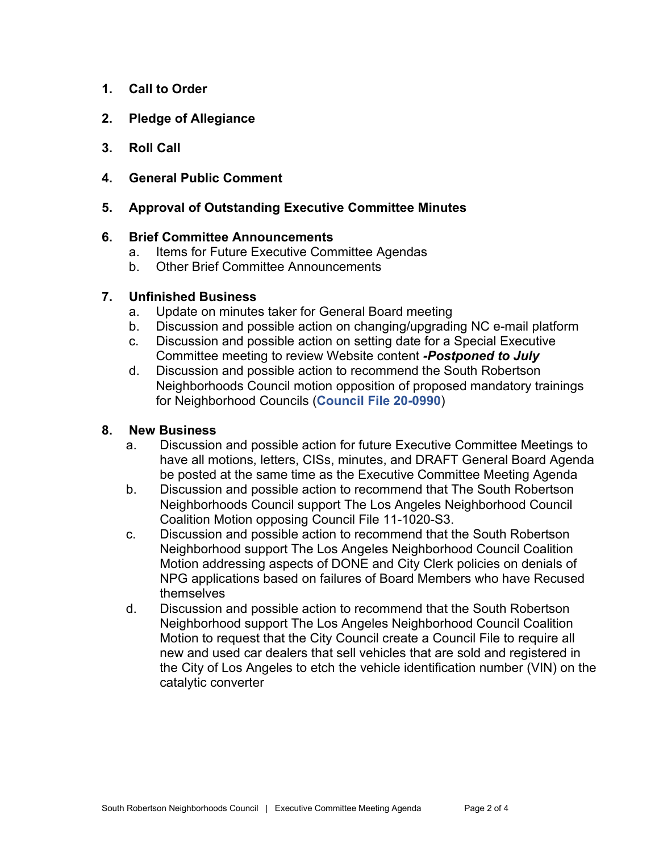- **1. Call to Order**
- **2. Pledge of Allegiance**
- **3. Roll Call**
- **4. General Public Comment**

# **5. Approval of Outstanding Executive Committee Minutes**

#### **6. Brief Committee Announcements**

- a. Items for Future Executive Committee Agendas
- b. Other Brief Committee Announcements

#### **7. Unfinished Business**

- a. Update on minutes taker for General Board meeting
- b. Discussion and possible action on changing/upgrading NC e-mail platform
- c. Discussion and possible action on setting date for a Special Executive Committee meeting to review Website content *-Postponed to July*
- d. Discussion and possible action to recommend the South Robertson Neighborhoods Council motion opposition of proposed mandatory trainings for Neighborhood Councils (**[Council File 20-0990](https://cityclerk.lacity.org/lacityclerkconnect/index.cfm?fa=ccfi.viewrecord&cfnumber=20-0990)**)

## **8. New Business**

- a. Discussion and possible action for future Executive Committee Meetings to have all motions, letters, CISs, minutes, and DRAFT General Board Agenda be posted at the same time as the Executive Committee Meeting Agenda
- b. Discussion and possible action to recommend that The South Robertson Neighborhoods Council support The Los Angeles Neighborhood Council Coalition Motion opposing Council File 11-1020-S3.
- c. Discussion and possible action to recommend that the South Robertson Neighborhood support The Los Angeles Neighborhood Council Coalition Motion addressing aspects of DONE and City Clerk policies on denials of NPG applications based on failures of Board Members who have Recused themselves
- d. Discussion and possible action to recommend that the South Robertson Neighborhood support The Los Angeles Neighborhood Council Coalition Motion to request that the City Council create a Council File to require all new and used car dealers that sell vehicles that are sold and registered in the City of Los Angeles to etch the vehicle identification number (VIN) on the catalytic converter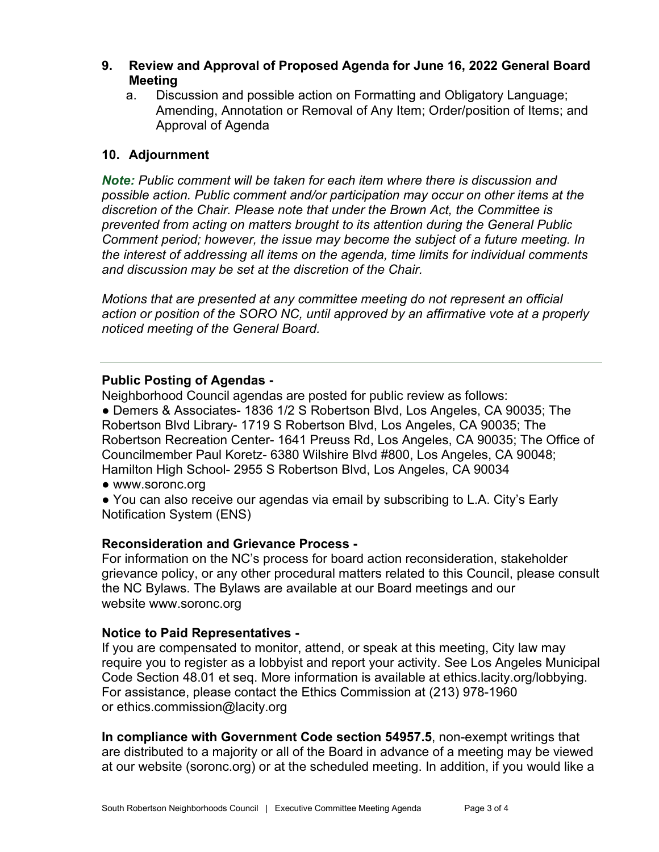- **9. Review and Approval of Proposed Agenda for June 16, 2022 General Board Meeting**
	- a. Discussion and possible action on Formatting and Obligatory Language; Amending, Annotation or Removal of Any Item; Order/position of Items; and Approval of Agenda

# **10. Adjournment**

*Note: Public comment will be taken for each item where there is discussion and possible action. Public comment and/or participation may occur on other items at the discretion of the Chair. Please note that under the Brown Act, the Committee is prevented from acting on matters brought to its attention during the General Public Comment period; however, the issue may become the subject of a future meeting. In the interest of addressing all items on the agenda, time limits for individual comments and discussion may be set at the discretion of the Chair.*

*Motions that are presented at any committee meeting do not represent an official action or position of the SORO NC, until approved by an affirmative vote at a properly noticed meeting of the General Board.*

## **Public Posting of Agendas -**

Neighborhood Council agendas are posted for public review as follows:

● Demers & Associates- 1836 1/2 S Robertson Blvd, Los Angeles, CA 90035; The Robertson Blvd Library- 1719 S Robertson Blvd, Los Angeles, CA 90035; The Robertson Recreation Center- 1641 Preuss Rd, Los Angeles, CA 90035; The Office of Councilmember Paul Koretz- 6380 Wilshire Blvd #800, Los Angeles, CA 90048; Hamilton High School- 2955 S Robertson Blvd, Los Angeles, CA 90034

- [www.soronc.org](http://www.soronc.org/)
- You can also receive our agendas via email by subscribing to L.A. City's Early [Notification System \(ENS\)](https://www.lacity.org/government/subscribe-agendasnotifications/neighborhood-councils)

## **Reconsideration and Grievance Process -**

For information on the NC's process for board action reconsideration, stakeholder grievance policy, or any other procedural matters related to this Council, please consult the NC Bylaws. The Bylaws are available at our Board meetings and our website [www.soronc.org](http://www.soronc.org/)

## **Notice to Paid Representatives -**

If you are compensated to monitor, attend, or speak at this meeting, City law may require you to register as a lobbyist and report your activity. See Los Angeles Municipal Code Section 48.01 et seq. More information is available at [ethics.lacity.org/lobbying.](http://ethics.lacity.org/lobbying) For assistance, please contact the Ethics Commission at (213) 978-1960 or [ethics.commission@lacity.org](mailto:ethics.commission@lacity.org)

**In compliance with Government Code section 54957.5**, non-exempt writings that are distributed to a majority or all of the Board in advance of a meeting may be viewed at our website (soronc.org) or at the scheduled meeting. In addition, if you would like a